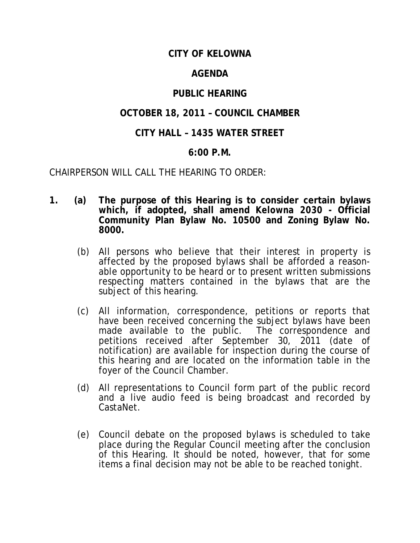## **CITY OF KELOWNA**

## **AGENDA**

# **PUBLIC HEARING**

# **OCTOBER 18, 2011 – COUNCIL CHAMBER**

## **CITY HALL – 1435 WATER STREET**

### **6:00 P.M.**

CHAIRPERSON WILL CALL THE HEARING TO ORDER:

- **1. (a) The purpose of this Hearing is to consider certain bylaws which, if adopted, shall amend** *Kelowna 2030* **- Official Community Plan Bylaw No. 10500 and Zoning Bylaw No. 8000.**
	- (b) All persons who believe that their interest in property is affected by the proposed bylaws shall be afforded a reasonable opportunity to be heard or to present written submissions respecting matters contained in the bylaws that are the subject of this hearing.
	- (c) All information, correspondence, petitions or reports that have been received concerning the subject bylaws have been made available to the public. The correspondence and petitions received after September 30, 2011 (date of notification) are available for inspection during the course of this hearing and are located on the information table in the foyer of the Council Chamber.
	- (d) All representations to Council form part of the public record and a live audio feed is being broadcast and recorded by CastaNet.
	- (e) Council debate on the proposed bylaws is scheduled to take place during the Regular Council meeting after the conclusion of this Hearing. It should be noted, however, that for some items a final decision may not be able to be reached tonight.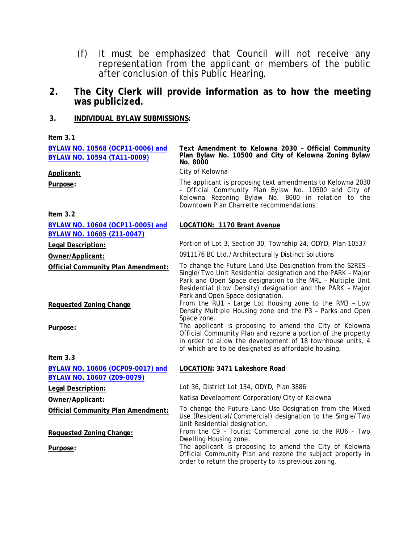- (f) It must be emphasized that Council will not receive any representation from the applicant or members of the public after conclusion of this Public Hearing.
- **2. The City Clerk will provide information as to how the meeting was publicized.**

#### **3. INDIVIDUAL BYLAW SUBMISSIONS:**

| Item 3.1                                                        |                                                                                                                                                                                                                                                                                            |
|-----------------------------------------------------------------|--------------------------------------------------------------------------------------------------------------------------------------------------------------------------------------------------------------------------------------------------------------------------------------------|
| BYLAW NO. 10568 (OCP11-0006) and<br>BYLAW NO. 10594 (TA11-0009) | Text Amendment to Kelowna 2030 - Official Community<br>Plan Bylaw No. 10500 and City of Kelowna Zoning Bylaw<br>No. 8000                                                                                                                                                                   |
| Applicant:                                                      | City of Kelowna                                                                                                                                                                                                                                                                            |
| Purpose:                                                        | The applicant is proposing text amendments to Kelowna 2030<br>- Official Community Plan Bylaw No. 10500 and City of<br>Kelowna Rezoning Bylaw No. 8000 in relation to the<br>Downtown Plan Charrette recommendations.                                                                      |
| Item $3.2$                                                      |                                                                                                                                                                                                                                                                                            |
| BYLAW NO. 10604 (OCP11-0005) and<br>BYLAW NO. 10605 (Z11-0047)  | LOCATION: 1170 Brant Avenue                                                                                                                                                                                                                                                                |
| Legal Description:                                              | Portion of Lot 3, Section 30, Township 24, ODYD, Plan 10537                                                                                                                                                                                                                                |
| Owner/Applicant:                                                | 0911176 BC Ltd./Architecturally Distinct Solutions                                                                                                                                                                                                                                         |
| <b>Official Community Plan Amendment:</b>                       | To change the Future Land Use Designation from the S2RES -<br>Single/Two Unit Residential designation and the PARK - Major<br>Park and Open Space designation to the MRL - Multiple Unit<br>Residential (Low Density) designation and the PARK - Major<br>Park and Open Space designation. |
| <b>Requested Zoning Change</b><br>Purpose:                      | From the RU1 - Large Lot Housing zone to the RM3 - Low<br>Density Multiple Housing zone and the P3 - Parks and Open<br>Space zone.<br>The applicant is proposing to amend the City of Kelowna                                                                                              |
|                                                                 | Official Community Plan and rezone a portion of the property<br>in order to allow the development of 18 townhouse units, 4<br>of which are to be designated as affordable housing.                                                                                                         |
| Item $3.3$                                                      |                                                                                                                                                                                                                                                                                            |
| BYLAW NO. 10606 (OCP09-0017) and<br>BYLAW NO. 10607 (Z09-0079)  | LOCATION: 3471 Lakeshore Road                                                                                                                                                                                                                                                              |
| Legal Description:                                              | Lot 36, District Lot 134, ODYD, Plan 3886                                                                                                                                                                                                                                                  |
| Owner/Applicant:                                                | Natisa Development Corporation/City of Kelowna                                                                                                                                                                                                                                             |
| <b>Official Community Plan Amendment:</b>                       | To change the Future Land Use Designation from the Mixed<br>Use (Residential/Commercial) designation to the Single/Two<br>Unit Residential designation.                                                                                                                                    |
| Requested Zoning Change:                                        | From the C9 - Tourist Commercial zone to the RU6 - Two<br>Dwelling Housing zone.                                                                                                                                                                                                           |
| Purpose:                                                        | The applicant is proposing to amend the City of Kelowna<br>Official Community Plan and rezone the subject property in                                                                                                                                                                      |

order to return the property to its previous zoning.